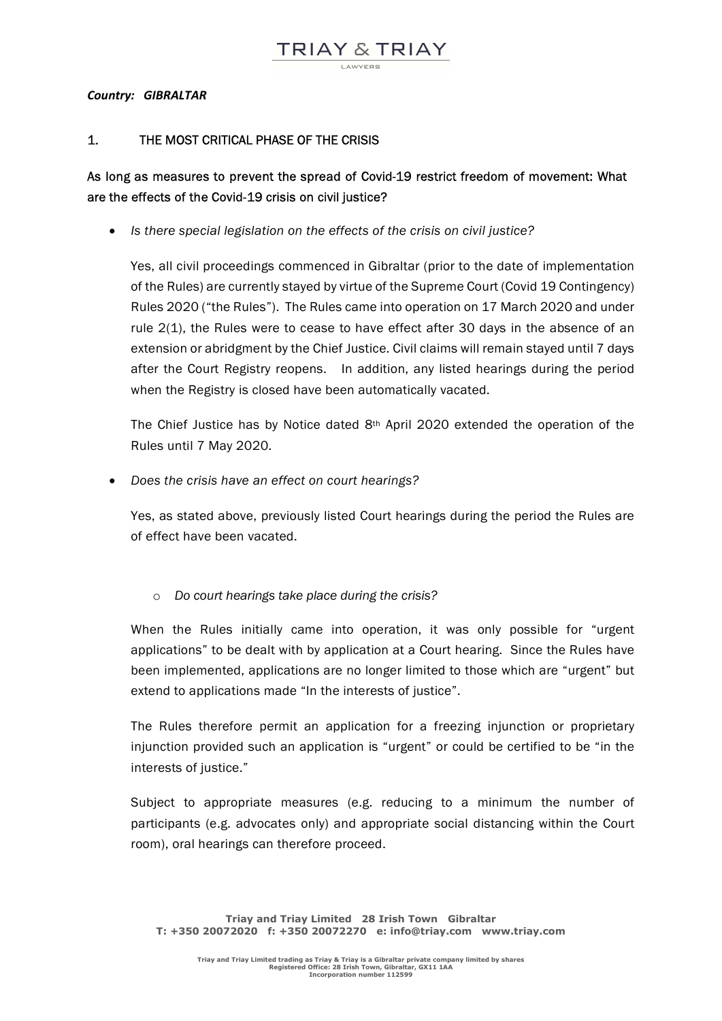Country: GIBRALTAR

## 1. THE MOST CRITICAL PHASE OF THE CRISIS

## As long as measures to prevent the spread of Covid-19 restrict freedom of movement: What are the effects of the Covid-19 crisis on civil justice?

• Is there special legislation on the effects of the crisis on civil justice?

 Yes, all civil proceedings commenced in Gibraltar (prior to the date of implementation of the Rules) are currently stayed by virtue of the Supreme Court (Covid 19 Contingency) Rules 2020 ("the Rules"). The Rules came into operation on 17 March 2020 and under rule 2(1), the Rules were to cease to have effect after 30 days in the absence of an extension or abridgment by the Chief Justice. Civil claims will remain stayed until 7 days after the Court Registry reopens. In addition, any listed hearings during the period when the Registry is closed have been automatically vacated.

The Chief Justice has by Notice dated 8th April 2020 extended the operation of the Rules until 7 May 2020.

• Does the crisis have an effect on court hearings?

Yes, as stated above, previously listed Court hearings during the period the Rules are of effect have been vacated.

o Do court hearings take place during the crisis?

When the Rules initially came into operation, it was only possible for "urgent applications" to be dealt with by application at a Court hearing. Since the Rules have been implemented, applications are no longer limited to those which are "urgent" but extend to applications made "In the interests of justice".

The Rules therefore permit an application for a freezing injunction or proprietary injunction provided such an application is "urgent" or could be certified to be "in the interests of justice."

Subject to appropriate measures (e.g. reducing to a minimum the number of participants (e.g. advocates only) and appropriate social distancing within the Court room), oral hearings can therefore proceed.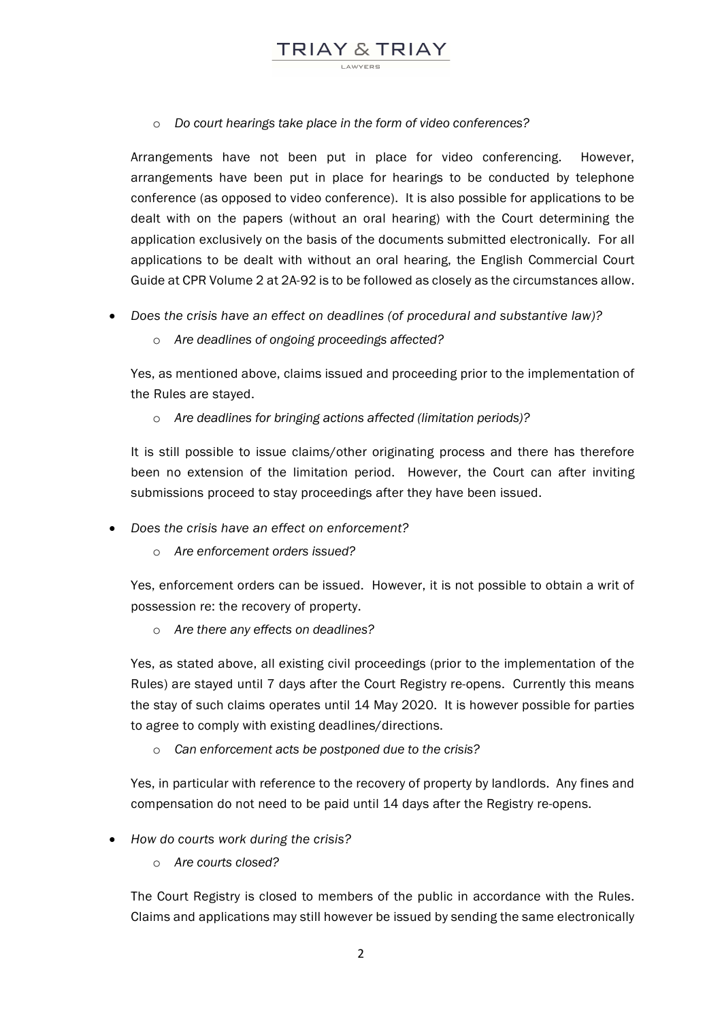o Do court hearings take place in the form of video conferences?

TRIAY & TRIAY

Arrangements have not been put in place for video conferencing. However, arrangements have been put in place for hearings to be conducted by telephone conference (as opposed to video conference). It is also possible for applications to be dealt with on the papers (without an oral hearing) with the Court determining the application exclusively on the basis of the documents submitted electronically. For all applications to be dealt with without an oral hearing, the English Commercial Court Guide at CPR Volume 2 at 2A-92 is to be followed as closely as the circumstances allow.

- Does the crisis have an effect on deadlines (of procedural and substantive law)?
	- o Are deadlines of ongoing proceedings affected?

Yes, as mentioned above, claims issued and proceeding prior to the implementation of the Rules are stayed.

o Are deadlines for bringing actions affected (limitation periods)?

It is still possible to issue claims/other originating process and there has therefore been no extension of the limitation period. However, the Court can after inviting submissions proceed to stay proceedings after they have been issued.

- Does the crisis have an effect on enforcement?
	- o Are enforcement orders issued?

Yes, enforcement orders can be issued. However, it is not possible to obtain a writ of possession re: the recovery of property.

o Are there any effects on deadlines?

Yes, as stated above, all existing civil proceedings (prior to the implementation of the Rules) are stayed until 7 days after the Court Registry re-opens. Currently this means the stay of such claims operates until 14 May 2020. It is however possible for parties to agree to comply with existing deadlines/directions.

o Can enforcement acts be postponed due to the crisis?

Yes, in particular with reference to the recovery of property by landlords. Any fines and compensation do not need to be paid until 14 days after the Registry re-opens.

- How do courts work during the crisis?
	- o Are courts closed?

The Court Registry is closed to members of the public in accordance with the Rules. Claims and applications may still however be issued by sending the same electronically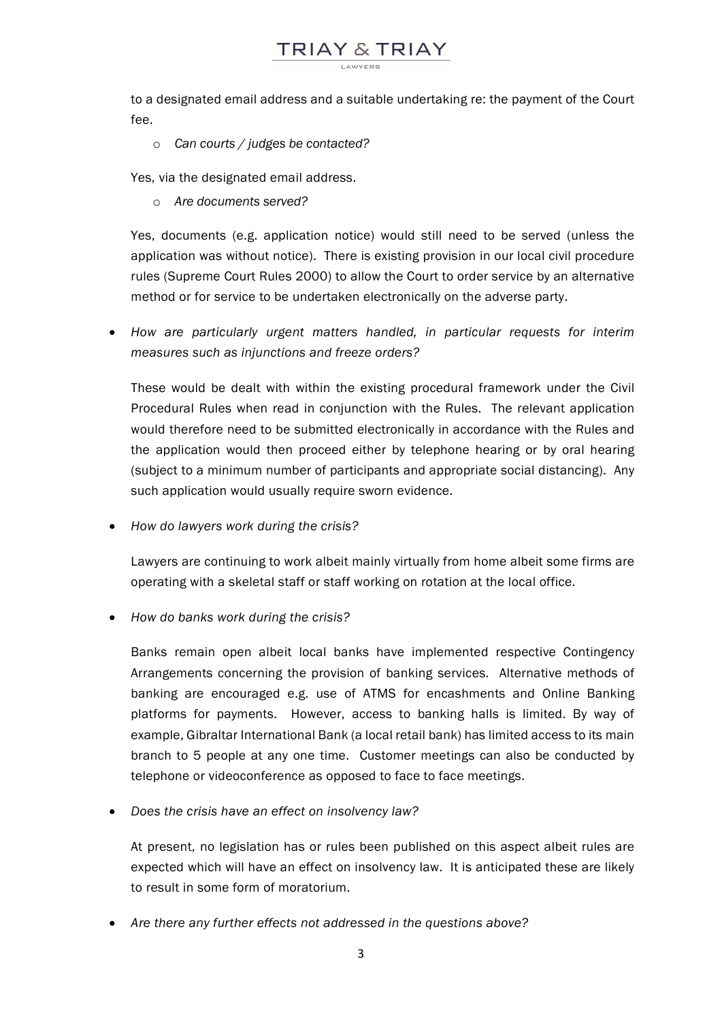to a designated email address and a suitable undertaking re: the payment of the Court fee.

TRIAY & TRIAY

o Can courts / judges be contacted?

Yes, via the designated email address.

o Are documents served?

Yes, documents (e.g. application notice) would still need to be served (unless the application was without notice). There is existing provision in our local civil procedure rules (Supreme Court Rules 2000) to allow the Court to order service by an alternative method or for service to be undertaken electronically on the adverse party.

 How are particularly urgent matters handled, in particular requests for interim measures such as injunctions and freeze orders?

These would be dealt with within the existing procedural framework under the Civil Procedural Rules when read in conjunction with the Rules. The relevant application would therefore need to be submitted electronically in accordance with the Rules and the application would then proceed either by telephone hearing or by oral hearing (subject to a minimum number of participants and appropriate social distancing). Any such application would usually require sworn evidence.

• How do lawyers work during the crisis?

Lawyers are continuing to work albeit mainly virtually from home albeit some firms are operating with a skeletal staff or staff working on rotation at the local office.

• How do banks work during the crisis?

Banks remain open albeit local banks have implemented respective Contingency Arrangements concerning the provision of banking services. Alternative methods of banking are encouraged e.g. use of ATMS for encashments and Online Banking platforms for payments. However, access to banking halls is limited. By way of example, Gibraltar International Bank (a local retail bank) has limited access to its main branch to 5 people at any one time. Customer meetings can also be conducted by telephone or videoconference as opposed to face to face meetings.

• Does the crisis have an effect on insolvency law?

At present, no legislation has or rules been published on this aspect albeit rules are expected which will have an effect on insolvency law. It is anticipated these are likely to result in some form of moratorium.

• Are there any further effects not addressed in the questions above?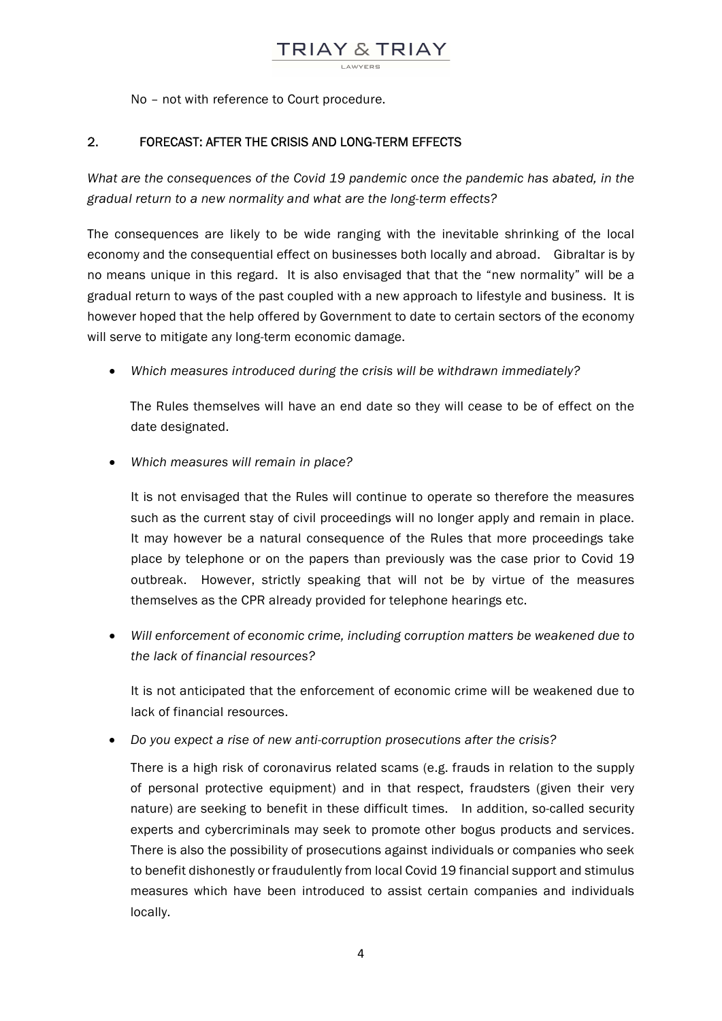

No – not with reference to Court procedure.

## 2. FORECAST: AFTER THE CRISIS AND LONG-TERM EFFECTS

What are the consequences of the Covid 19 pandemic once the pandemic has abated, in the gradual return to a new normality and what are the long-term effects?

The consequences are likely to be wide ranging with the inevitable shrinking of the local economy and the consequential effect on businesses both locally and abroad. Gibraltar is by no means unique in this regard. It is also envisaged that that the "new normality" will be a gradual return to ways of the past coupled with a new approach to lifestyle and business. It is however hoped that the help offered by Government to date to certain sectors of the economy will serve to mitigate any long-term economic damage.

Which measures introduced during the crisis will be withdrawn immediately?

The Rules themselves will have an end date so they will cease to be of effect on the date designated.

• Which measures will remain in place?

It is not envisaged that the Rules will continue to operate so therefore the measures such as the current stay of civil proceedings will no longer apply and remain in place. It may however be a natural consequence of the Rules that more proceedings take place by telephone or on the papers than previously was the case prior to Covid 19 outbreak. However, strictly speaking that will not be by virtue of the measures themselves as the CPR already provided for telephone hearings etc.

 Will enforcement of economic crime, including corruption matters be weakened due to the lack of financial resources?

It is not anticipated that the enforcement of economic crime will be weakened due to lack of financial resources.

Do you expect a rise of new anti-corruption prosecutions after the crisis?

There is a high risk of coronavirus related scams (e.g. frauds in relation to the supply of personal protective equipment) and in that respect, fraudsters (given their very nature) are seeking to benefit in these difficult times. In addition, so-called security experts and cybercriminals may seek to promote other bogus products and services. There is also the possibility of prosecutions against individuals or companies who seek to benefit dishonestly or fraudulently from local Covid 19 financial support and stimulus measures which have been introduced to assist certain companies and individuals locally.